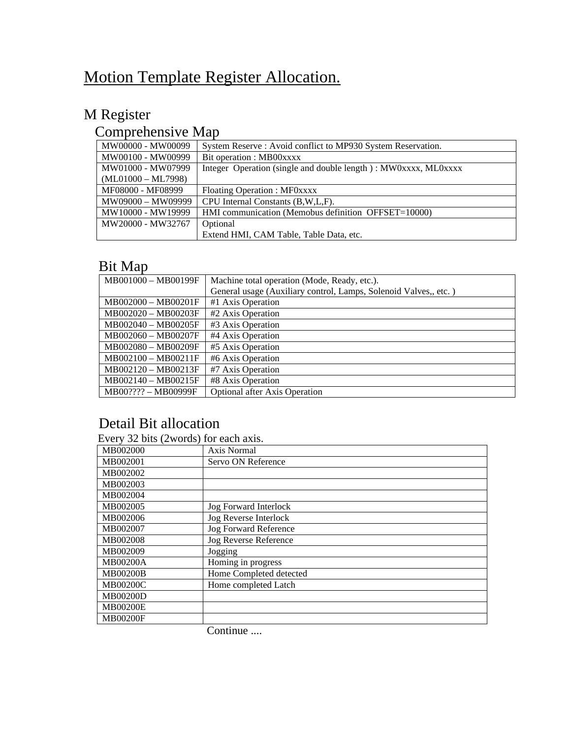# Motion Template Register Allocation.

# M Register

## Comprehensive Map

| MW00000 - MW00099    | System Reserve: Avoid conflict to MP930 System Reservation.    |
|----------------------|----------------------------------------------------------------|
| MW00100 - MW00999    | Bit operation : MB00xxxx                                       |
| MW01000 - MW07999    | Integer Operation (single and double length): MW0xxxx, ML0xxxx |
| $(ML01000 - ML7998)$ |                                                                |
| MF08000 - MF08999    | Floating Operation : MF0xxxx                                   |
| MW09000 - MW09999    | CPU Internal Constants (B, W, L, F).                           |
| MW10000 - MW19999    | HMI communication (Memobus definition OFFSET=10000)            |
| MW20000 - MW32767    | Optional                                                       |
|                      | Extend HMI, CAM Table, Table Data, etc.                        |

## Bit Map

| MB001000 - MB00199F | Machine total operation (Mode, Ready, etc.).                     |
|---------------------|------------------------------------------------------------------|
|                     | General usage (Auxiliary control, Lamps, Solenoid Valves,, etc.) |
| MB002000 - MB00201F | #1 Axis Operation                                                |
| MB002020 - MB00203F | #2 Axis Operation                                                |
| MB002040 - MB00205F | #3 Axis Operation                                                |
| MB002060 - MB00207F | #4 Axis Operation                                                |
| MB002080 - MB00209F | #5 Axis Operation                                                |
| MB002100 - MB00211F | #6 Axis Operation                                                |
| MB002120 - MB00213F | #7 Axis Operation                                                |
| MB002140 - MB00215F | #8 Axis Operation                                                |
| MB00???? - MB00999F | <b>Optional after Axis Operation</b>                             |

### Detail Bit allocation

| Every 32 bits (2words) for each axis. |  |  |
|---------------------------------------|--|--|
|---------------------------------------|--|--|

| MB002000        | Axis Normal                  |
|-----------------|------------------------------|
| MB002001        | Servo ON Reference           |
| MB002002        |                              |
| MB002003        |                              |
| MB002004        |                              |
| MB002005        | Jog Forward Interlock        |
| MB002006        | Jog Reverse Interlock        |
| MB002007        | <b>Jog Forward Reference</b> |
| MB002008        | Jog Reverse Reference        |
| MB002009        | Jogging                      |
| <b>MB00200A</b> | Homing in progress           |
| <b>MB00200B</b> | Home Completed detected      |
| <b>MB00200C</b> | Home completed Latch         |
| MB00200D        |                              |
| <b>MB00200E</b> |                              |
| <b>MB00200F</b> |                              |
|                 |                              |

Continue ....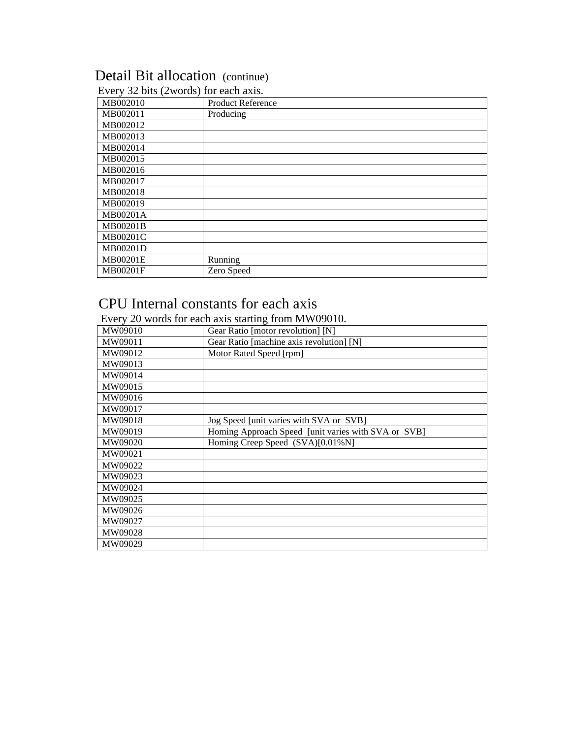# Detail Bit allocation (continue)

| MB002010 | Product Reference |
|----------|-------------------|
| MB002011 | Producing         |
| MB002012 |                   |
| MB002013 |                   |
| MB002014 |                   |
| MB002015 |                   |
| MB002016 |                   |
| MB002017 |                   |
| MB002018 |                   |
| MB002019 |                   |
| MB00201A |                   |
| MB00201B |                   |
| MB00201C |                   |
| MB00201D |                   |
| MB00201E | Running           |
| MB00201F | Zero Speed        |

#### Every 32 bits (2words) for each axis.

### CPU Internal constants for each axis

Every 20 words for each axis starting from MW09010.

| MW09010 | Gear Ratio [motor revolution] [N]                   |
|---------|-----------------------------------------------------|
| MW09011 | Gear Ratio [machine axis revolution] [N]            |
| MW09012 | Motor Rated Speed [rpm]                             |
| MW09013 |                                                     |
| MW09014 |                                                     |
| MW09015 |                                                     |
| MW09016 |                                                     |
| MW09017 |                                                     |
| MW09018 | Jog Speed [unit varies with SVA or SVB]             |
| MW09019 | Homing Approach Speed [unit varies with SVA or SVB] |
| MW09020 | Homing Creep Speed (SVA)[0.01%N]                    |
| MW09021 |                                                     |
| MW09022 |                                                     |
| MW09023 |                                                     |
| MW09024 |                                                     |
| MW09025 |                                                     |
| MW09026 |                                                     |
| MW09027 |                                                     |
| MW09028 |                                                     |
| MW09029 |                                                     |
|         |                                                     |